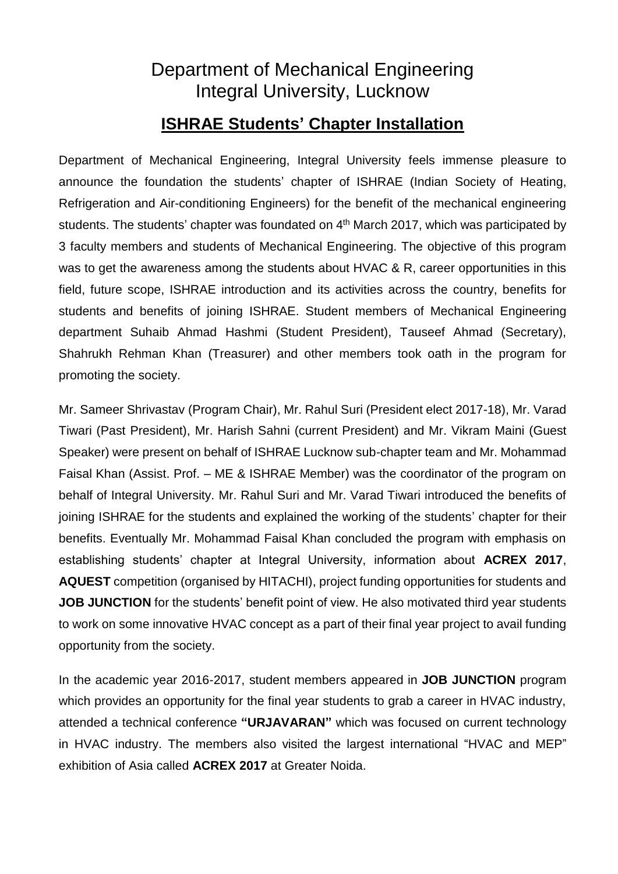## Department of Mechanical Engineering Integral University, Lucknow

## **ISHRAE Students' Chapter Installation**

Department of Mechanical Engineering, Integral University feels immense pleasure to announce the foundation the students' chapter of ISHRAE (Indian Society of Heating, Refrigeration and Air-conditioning Engineers) for the benefit of the mechanical engineering students. The students' chapter was foundated on 4<sup>th</sup> March 2017, which was participated by 3 faculty members and students of Mechanical Engineering. The objective of this program was to get the awareness among the students about HVAC & R, career opportunities in this field, future scope, ISHRAE introduction and its activities across the country, benefits for students and benefits of joining ISHRAE. Student members of Mechanical Engineering department Suhaib Ahmad Hashmi (Student President), Tauseef Ahmad (Secretary), Shahrukh Rehman Khan (Treasurer) and other members took oath in the program for promoting the society.

Mr. Sameer Shrivastav (Program Chair), Mr. Rahul Suri (President elect 2017-18), Mr. Varad Tiwari (Past President), Mr. Harish Sahni (current President) and Mr. Vikram Maini (Guest Speaker) were present on behalf of ISHRAE Lucknow sub-chapter team and Mr. Mohammad Faisal Khan (Assist. Prof. – ME & ISHRAE Member) was the coordinator of the program on behalf of Integral University. Mr. Rahul Suri and Mr. Varad Tiwari introduced the benefits of joining ISHRAE for the students and explained the working of the students' chapter for their benefits. Eventually Mr. Mohammad Faisal Khan concluded the program with emphasis on establishing students' chapter at Integral University, information about **ACREX 2017**, **AQUEST** competition (organised by HITACHI), project funding opportunities for students and **JOB JUNCTION** for the students' benefit point of view. He also motivated third year students to work on some innovative HVAC concept as a part of their final year project to avail funding opportunity from the society.

In the academic year 2016-2017, student members appeared in **JOB JUNCTION** program which provides an opportunity for the final year students to grab a career in HVAC industry, attended a technical conference **"URJAVARAN"** which was focused on current technology in HVAC industry. The members also visited the largest international "HVAC and MEP" exhibition of Asia called **ACREX 2017** at Greater Noida.